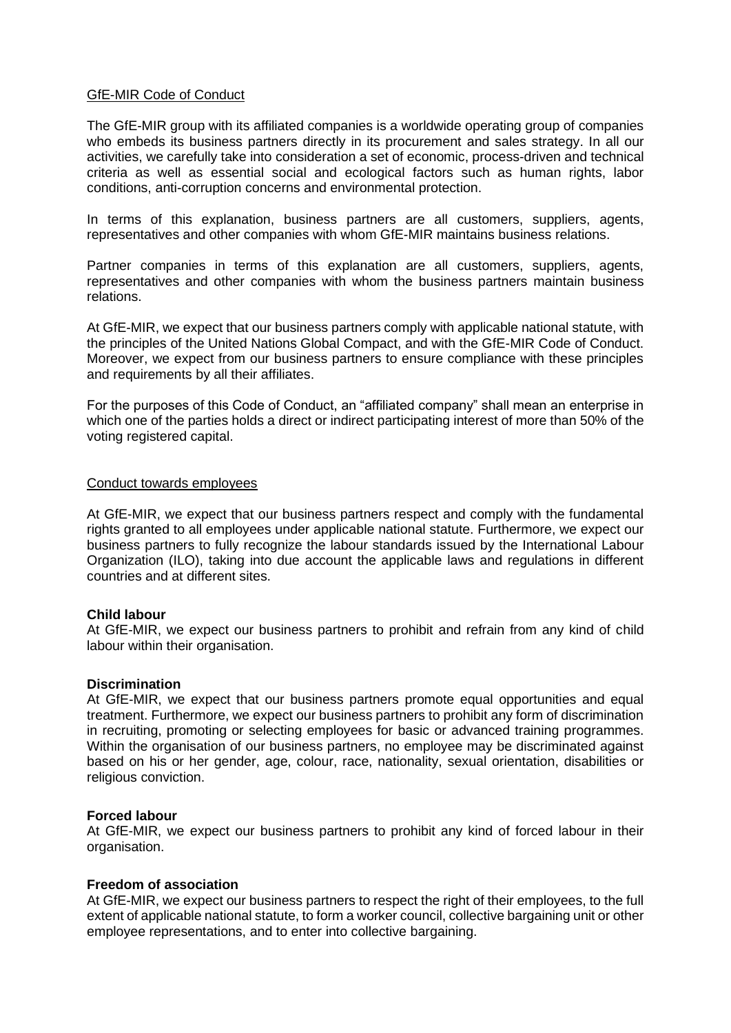# GfE-MIR Code of Conduct

The GfE-MIR group with its affiliated companies is a worldwide operating group of companies who embeds its business partners directly in its procurement and sales strategy. In all our activities, we carefully take into consideration a set of economic, process-driven and technical criteria as well as essential social and ecological factors such as human rights, labor conditions, anti-corruption concerns and environmental protection.

In terms of this explanation, business partners are all customers, suppliers, agents, representatives and other companies with whom GfE-MIR maintains business relations.

Partner companies in terms of this explanation are all customers, suppliers, agents, representatives and other companies with whom the business partners maintain business relations.

At GfE-MIR, we expect that our business partners comply with applicable national statute, with the principles of the United Nations Global Compact, and with the GfE-MIR Code of Conduct. Moreover, we expect from our business partners to ensure compliance with these principles and requirements by all their affiliates.

For the purposes of this Code of Conduct, an "affiliated company" shall mean an enterprise in which one of the parties holds a direct or indirect participating interest of more than 50% of the voting registered capital.

#### Conduct towards employees

At GfE-MIR, we expect that our business partners respect and comply with the fundamental rights granted to all employees under applicable national statute. Furthermore, we expect our business partners to fully recognize the labour standards issued by the International Labour Organization (ILO), taking into due account the applicable laws and regulations in different countries and at different sites.

### **Child labour**

At GfE-MIR, we expect our business partners to prohibit and refrain from any kind of child labour within their organisation.

### **Discrimination**

At GfE-MIR, we expect that our business partners promote equal opportunities and equal treatment. Furthermore, we expect our business partners to prohibit any form of discrimination in recruiting, promoting or selecting employees for basic or advanced training programmes. Within the organisation of our business partners, no employee may be discriminated against based on his or her gender, age, colour, race, nationality, sexual orientation, disabilities or religious conviction.

### **Forced labour**

At GfE-MIR, we expect our business partners to prohibit any kind of forced labour in their organisation.

### **Freedom of association**

At GfE-MIR, we expect our business partners to respect the right of their employees, to the full extent of applicable national statute, to form a worker council, collective bargaining unit or other employee representations, and to enter into collective bargaining.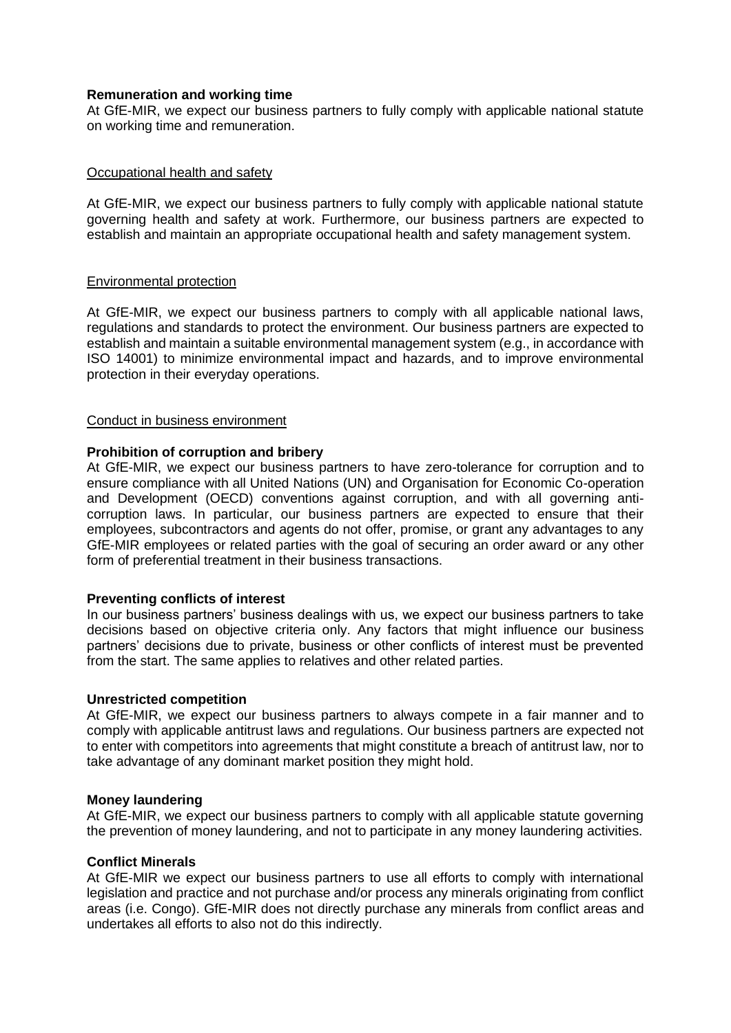# **Remuneration and working time**

At GfE-MIR, we expect our business partners to fully comply with applicable national statute on working time and remuneration.

### Occupational health and safety

At GfE-MIR, we expect our business partners to fully comply with applicable national statute governing health and safety at work. Furthermore, our business partners are expected to establish and maintain an appropriate occupational health and safety management system.

### Environmental protection

At GfE-MIR, we expect our business partners to comply with all applicable national laws, regulations and standards to protect the environment. Our business partners are expected to establish and maintain a suitable environmental management system (e.g., in accordance with ISO 14001) to minimize environmental impact and hazards, and to improve environmental protection in their everyday operations.

### Conduct in business environment

# **Prohibition of corruption and bribery**

At GfE-MIR, we expect our business partners to have zero-tolerance for corruption and to ensure compliance with all United Nations (UN) and Organisation for Economic Co-operation and Development (OECD) conventions against corruption, and with all governing anticorruption laws. In particular, our business partners are expected to ensure that their employees, subcontractors and agents do not offer, promise, or grant any advantages to any GfE-MIR employees or related parties with the goal of securing an order award or any other form of preferential treatment in their business transactions.

### **Preventing conflicts of interest**

In our business partners' business dealings with us, we expect our business partners to take decisions based on objective criteria only. Any factors that might influence our business partners' decisions due to private, business or other conflicts of interest must be prevented from the start. The same applies to relatives and other related parties.

### **Unrestricted competition**

At GfE-MIR, we expect our business partners to always compete in a fair manner and to comply with applicable antitrust laws and regulations. Our business partners are expected not to enter with competitors into agreements that might constitute a breach of antitrust law, nor to take advantage of any dominant market position they might hold.

### **Money laundering**

At GfE-MIR, we expect our business partners to comply with all applicable statute governing the prevention of money laundering, and not to participate in any money laundering activities.

### **Conflict Minerals**

At GfE-MIR we expect our business partners to use all efforts to comply with international legislation and practice and not purchase and/or process any minerals originating from conflict areas (i.e. Congo). GfE-MIR does not directly purchase any minerals from conflict areas and undertakes all efforts to also not do this indirectly.